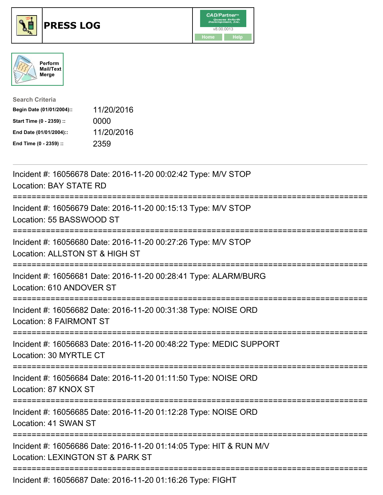





| <b>Search Criteria</b>    |            |
|---------------------------|------------|
| Begin Date (01/01/2004):: | 11/20/2016 |
| Start Time (0 - 2359) ::  | 0000       |
| End Date (01/01/2004)::   | 11/20/2016 |
| End Time (0 - 2359) ::    | 2359       |

| Incident #: 16056678 Date: 2016-11-20 00:02:42 Type: M/V STOP<br><b>Location: BAY STATE RD</b>                                            |
|-------------------------------------------------------------------------------------------------------------------------------------------|
| Incident #: 16056679 Date: 2016-11-20 00:15:13 Type: M/V STOP<br>Location: 55 BASSWOOD ST<br>-------------                                |
| Incident #: 16056680 Date: 2016-11-20 00:27:26 Type: M/V STOP<br>Location: ALLSTON ST & HIGH ST<br>------------------------<br>---------- |
| Incident #: 16056681 Date: 2016-11-20 00:28:41 Type: ALARM/BURG<br>Location: 610 ANDOVER ST                                               |
| Incident #: 16056682 Date: 2016-11-20 00:31:38 Type: NOISE ORD<br>Location: 8 FAIRMONT ST<br>=====================================        |
| Incident #: 16056683 Date: 2016-11-20 00:48:22 Type: MEDIC SUPPORT<br>Location: 30 MYRTLE CT                                              |
| Incident #: 16056684 Date: 2016-11-20 01:11:50 Type: NOISE ORD<br>Location: 87 KNOX ST                                                    |
| Incident #: 16056685 Date: 2016-11-20 01:12:28 Type: NOISE ORD<br>Location: 41 SWAN ST                                                    |
| Incident #: 16056686 Date: 2016-11-20 01:14:05 Type: HIT & RUN M/V<br>Location: LEXINGTON ST & PARK ST                                    |
| Incident #: 16056687 Date: 2016-11-20 01:16:26 Type: FIGHT                                                                                |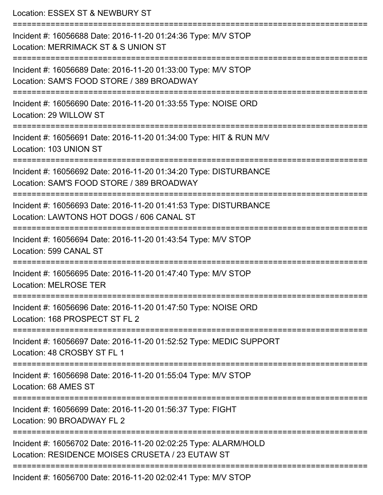| Location: ESSEX ST & NEWBURY ST                                                                                                          |
|------------------------------------------------------------------------------------------------------------------------------------------|
| Incident #: 16056688 Date: 2016-11-20 01:24:36 Type: M/V STOP<br>Location: MERRIMACK ST & S UNION ST<br>=============================    |
| Incident #: 16056689 Date: 2016-11-20 01:33:00 Type: M/V STOP<br>Location: SAM'S FOOD STORE / 389 BROADWAY                               |
| Incident #: 16056690 Date: 2016-11-20 01:33:55 Type: NOISE ORD<br>Location: 29 WILLOW ST                                                 |
| Incident #: 16056691 Date: 2016-11-20 01:34:00 Type: HIT & RUN M/V<br>Location: 103 UNION ST                                             |
| Incident #: 16056692 Date: 2016-11-20 01:34:20 Type: DISTURBANCE<br>Location: SAM'S FOOD STORE / 389 BROADWAY                            |
| =======================<br>Incident #: 16056693 Date: 2016-11-20 01:41:53 Type: DISTURBANCE<br>Location: LAWTONS HOT DOGS / 606 CANAL ST |
| Incident #: 16056694 Date: 2016-11-20 01:43:54 Type: M/V STOP<br>Location: 599 CANAL ST                                                  |
| Incident #: 16056695 Date: 2016-11-20 01:47:40 Type: M/V STOP<br>Location: MELROSE TER                                                   |
| =======================<br>Incident #: 16056696 Date: 2016-11-20 01:47:50 Type: NOISE ORD<br>Location: 168 PROSPECT ST FL 2              |
| Incident #: 16056697 Date: 2016-11-20 01:52:52 Type: MEDIC SUPPORT<br>Location: 48 CROSBY ST FL 1                                        |
| Incident #: 16056698 Date: 2016-11-20 01:55:04 Type: M/V STOP<br>Location: 68 AMES ST                                                    |
| ===================<br>Incident #: 16056699 Date: 2016-11-20 01:56:37 Type: FIGHT<br>Location: 90 BROADWAY FL 2                          |
| Incident #: 16056702 Date: 2016-11-20 02:02:25 Type: ALARM/HOLD<br>Location: RESIDENCE MOISES CRUSETA / 23 EUTAW ST                      |
| Incident #: 16056700 Date: 2016-11-20 02:02:41 Type: M/V STOP                                                                            |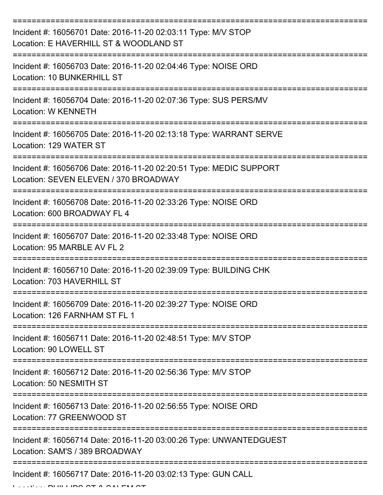| Incident #: 16056701 Date: 2016-11-20 02:03:11 Type: M/V STOP<br>Location: E HAVERHILL ST & WOODLAND ST                           |
|-----------------------------------------------------------------------------------------------------------------------------------|
| Incident #: 16056703 Date: 2016-11-20 02:04:46 Type: NOISE ORD<br>Location: 10 BUNKERHILL ST                                      |
| Incident #: 16056704 Date: 2016-11-20 02:07:36 Type: SUS PERS/MV<br><b>Location: W KENNETH</b>                                    |
| Incident #: 16056705 Date: 2016-11-20 02:13:18 Type: WARRANT SERVE<br>Location: 129 WATER ST                                      |
| Incident #: 16056706 Date: 2016-11-20 02:20:51 Type: MEDIC SUPPORT<br>Location: SEVEN ELEVEN / 370 BROADWAY<br>================== |
| Incident #: 16056708 Date: 2016-11-20 02:33:26 Type: NOISE ORD<br>Location: 600 BROADWAY FL 4                                     |
| Incident #: 16056707 Date: 2016-11-20 02:33:48 Type: NOISE ORD<br>Location: 95 MARBLE AV FL 2                                     |
| Incident #: 16056710 Date: 2016-11-20 02:39:09 Type: BUILDING CHK<br>Location: 703 HAVERHILL ST                                   |
| Incident #: 16056709 Date: 2016-11-20 02:39:27 Type: NOISE ORD<br>Location: 126 FARNHAM ST FL 1                                   |
| Incident #: 16056711 Date: 2016-11-20 02:48:51 Type: M/V STOP<br>Location: 90 LOWELL ST                                           |
| Incident #: 16056712 Date: 2016-11-20 02:56:36 Type: M/V STOP<br>Location: 50 NESMITH ST                                          |
| Incident #: 16056713 Date: 2016-11-20 02:56:55 Type: NOISE ORD<br>Location: 77 GREENWOOD ST                                       |
| Incident #: 16056714 Date: 2016-11-20 03:00:26 Type: UNWANTEDGUEST<br>Location: SAM'S / 389 BROADWAY                              |
| Incident #: 16056717 Date: 2016-11-20 03:02:13 Type: GUN CALL                                                                     |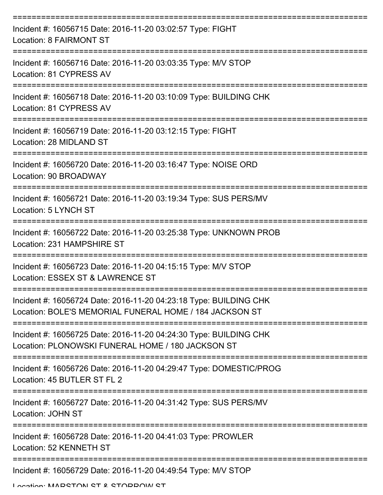| Incident #: 16056715 Date: 2016-11-20 03:02:57 Type: FIGHT<br>Location: 8 FAIRMONT ST                                        |
|------------------------------------------------------------------------------------------------------------------------------|
| Incident #: 16056716 Date: 2016-11-20 03:03:35 Type: M/V STOP<br>Location: 81 CYPRESS AV                                     |
| Incident #: 16056718 Date: 2016-11-20 03:10:09 Type: BUILDING CHK<br>Location: 81 CYPRESS AV                                 |
| Incident #: 16056719 Date: 2016-11-20 03:12:15 Type: FIGHT<br>Location: 28 MIDLAND ST                                        |
| Incident #: 16056720 Date: 2016-11-20 03:16:47 Type: NOISE ORD<br>Location: 90 BROADWAY                                      |
| Incident #: 16056721 Date: 2016-11-20 03:19:34 Type: SUS PERS/MV<br>Location: 5 LYNCH ST                                     |
| Incident #: 16056722 Date: 2016-11-20 03:25:38 Type: UNKNOWN PROB<br>Location: 231 HAMPSHIRE ST                              |
| Incident #: 16056723 Date: 2016-11-20 04:15:15 Type: M/V STOP<br>Location: ESSEX ST & LAWRENCE ST                            |
| Incident #: 16056724 Date: 2016-11-20 04:23:18 Type: BUILDING CHK<br>Location: BOLE'S MEMORIAL FUNERAL HOME / 184 JACKSON ST |
| Incident #: 16056725 Date: 2016-11-20 04:24:30 Type: BUILDING CHK<br>Location: PLONOWSKI FUNERAL HOME / 180 JACKSON ST       |
| Incident #: 16056726 Date: 2016-11-20 04:29:47 Type: DOMESTIC/PROG<br>Location: 45 BUTLER ST FL 2                            |
| Incident #: 16056727 Date: 2016-11-20 04:31:42 Type: SUS PERS/MV<br><b>Location: JOHN ST</b>                                 |
| Incident #: 16056728 Date: 2016-11-20 04:41:03 Type: PROWLER<br>Location: 52 KENNETH ST                                      |
| Incident #: 16056729 Date: 2016-11-20 04:49:54 Type: M/V STOP                                                                |

Location: MADCTON CT & CTODDOM CT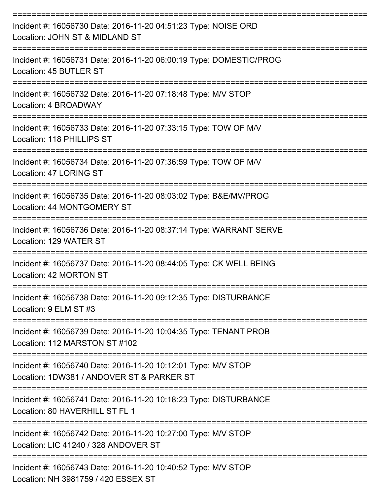| Incident #: 16056730 Date: 2016-11-20 04:51:23 Type: NOISE ORD<br>Location: JOHN ST & MIDLAND ST                      |
|-----------------------------------------------------------------------------------------------------------------------|
| Incident #: 16056731 Date: 2016-11-20 06:00:19 Type: DOMESTIC/PROG<br>Location: 45 BUTLER ST                          |
| Incident #: 16056732 Date: 2016-11-20 07:18:48 Type: M/V STOP<br>Location: 4 BROADWAY                                 |
| Incident #: 16056733 Date: 2016-11-20 07:33:15 Type: TOW OF M/V<br>Location: 118 PHILLIPS ST                          |
| Incident #: 16056734 Date: 2016-11-20 07:36:59 Type: TOW OF M/V<br>Location: 47 LORING ST                             |
| Incident #: 16056735 Date: 2016-11-20 08:03:02 Type: B&E/MV/PROG<br>Location: 44 MONTGOMERY ST                        |
| Incident #: 16056736 Date: 2016-11-20 08:37:14 Type: WARRANT SERVE<br>Location: 129 WATER ST                          |
| Incident #: 16056737 Date: 2016-11-20 08:44:05 Type: CK WELL BEING<br>Location: 42 MORTON ST                          |
| Incident #: 16056738 Date: 2016-11-20 09:12:35 Type: DISTURBANCE<br>Location: 9 ELM ST #3                             |
| ----------------<br>Incident #: 16056739 Date: 2016-11-20 10:04:35 Type: TENANT PROB<br>Location: 112 MARSTON ST #102 |
| Incident #: 16056740 Date: 2016-11-20 10:12:01 Type: M/V STOP<br>Location: 1DW381 / ANDOVER ST & PARKER ST            |
| Incident #: 16056741 Date: 2016-11-20 10:18:23 Type: DISTURBANCE<br>Location: 80 HAVERHILL ST FL 1                    |
| Incident #: 16056742 Date: 2016-11-20 10:27:00 Type: M/V STOP<br>Location: LIC 41240 / 328 ANDOVER ST                 |
| Incident #: 16056743 Date: 2016-11-20 10:40:52 Type: M/V STOP<br>Location: NH 3981759 / 420 ESSEX ST                  |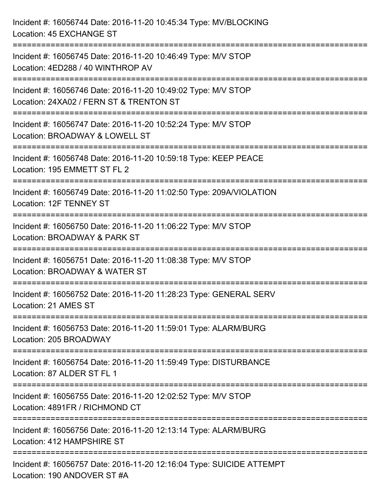Incident #: 16056744 Date: 2016-11-20 10:45:34 Type: MV/BLOCKING Location: 45 EXCHANGE ST =========================================================================== Incident #: 16056745 Date: 2016-11-20 10:46:49 Type: M/V STOP Location: 4ED288 / 40 WINTHROP AV =========================================================================== Incident #: 16056746 Date: 2016-11-20 10:49:02 Type: M/V STOP Location: 24XA02 / FERN ST & TRENTON ST =========================================================================== Incident #: 16056747 Date: 2016-11-20 10:52:24 Type: M/V STOP Location: BROADWAY & LOWELL ST =========================================================================== Incident #: 16056748 Date: 2016-11-20 10:59:18 Type: KEEP PEACE Location: 195 EMMETT ST FL 2 =========================================================================== Incident #: 16056749 Date: 2016-11-20 11:02:50 Type: 209A/VIOLATION Location: 12F TENNEY ST =========================================================================== Incident #: 16056750 Date: 2016-11-20 11:06:22 Type: M/V STOP Location: BROADWAY & PARK ST =========================================================================== Incident #: 16056751 Date: 2016-11-20 11:08:38 Type: M/V STOP Location: BROADWAY & WATER ST =========================================================================== Incident #: 16056752 Date: 2016-11-20 11:28:23 Type: GENERAL SERV Location: 21 AMES ST =========================================================================== Incident #: 16056753 Date: 2016-11-20 11:59:01 Type: ALARM/BURG Location: 205 BROADWAY =========================================================================== Incident #: 16056754 Date: 2016-11-20 11:59:49 Type: DISTURBANCE Location: 87 ALDER ST FL 1 =========================================================================== Incident #: 16056755 Date: 2016-11-20 12:02:52 Type: M/V STOP Location: 4891FR / RICHMOND CT =========================================================================== Incident #: 16056756 Date: 2016-11-20 12:13:14 Type: ALARM/BURG Location: 412 HAMPSHIRE ST =========================================================================== Incident #: 16056757 Date: 2016-11-20 12:16:04 Type: SUICIDE ATTEMPT Location: 190 ANDOVER ST #A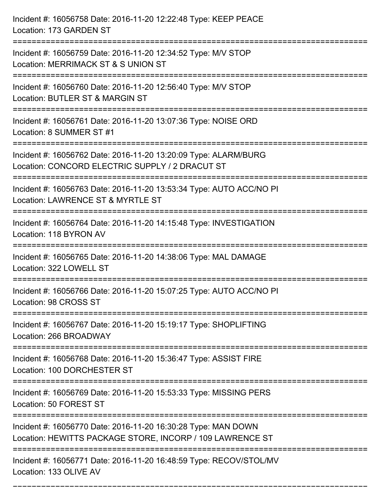| Incident #: 16056758 Date: 2016-11-20 12:22:48 Type: KEEP PEACE<br>Location: 173 GARDEN ST                                          |
|-------------------------------------------------------------------------------------------------------------------------------------|
| Incident #: 16056759 Date: 2016-11-20 12:34:52 Type: M/V STOP<br>Location: MERRIMACK ST & S UNION ST                                |
| Incident #: 16056760 Date: 2016-11-20 12:56:40 Type: M/V STOP<br>Location: BUTLER ST & MARGIN ST                                    |
| Incident #: 16056761 Date: 2016-11-20 13:07:36 Type: NOISE ORD<br>Location: 8 SUMMER ST #1                                          |
| Incident #: 16056762 Date: 2016-11-20 13:20:09 Type: ALARM/BURG<br>Location: CONCORD ELECTRIC SUPPLY / 2 DRACUT ST                  |
| Incident #: 16056763 Date: 2016-11-20 13:53:34 Type: AUTO ACC/NO PI<br>Location: LAWRENCE ST & MYRTLE ST<br>:====================== |
| Incident #: 16056764 Date: 2016-11-20 14:15:48 Type: INVESTIGATION<br>Location: 118 BYRON AV                                        |
| Incident #: 16056765 Date: 2016-11-20 14:38:06 Type: MAL DAMAGE<br>Location: 322 LOWELL ST                                          |
| Incident #: 16056766 Date: 2016-11-20 15:07:25 Type: AUTO ACC/NO PI<br>Location: 98 CROSS ST                                        |
| Incident #: 16056767 Date: 2016-11-20 15:19:17 Type: SHOPLIFTING<br>Location: 266 BROADWAY                                          |
| Incident #: 16056768 Date: 2016-11-20 15:36:47 Type: ASSIST FIRE<br>Location: 100 DORCHESTER ST                                     |
| Incident #: 16056769 Date: 2016-11-20 15:53:33 Type: MISSING PERS<br>Location: 50 FOREST ST                                         |
| Incident #: 16056770 Date: 2016-11-20 16:30:28 Type: MAN DOWN<br>Location: HEWITTS PACKAGE STORE, INCORP / 109 LAWRENCE ST          |
| Incident #: 16056771 Date: 2016-11-20 16:48:59 Type: RECOV/STOL/MV<br>Location: 133 OLIVE AV                                        |

===========================================================================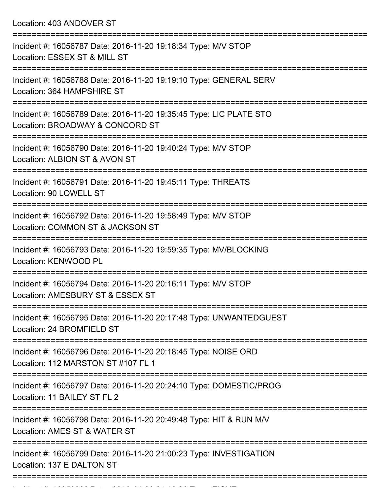Location: 403 ANDOVER ST

| Incident #: 16056787 Date: 2016-11-20 19:18:34 Type: M/V STOP<br>Location: ESSEX ST & MILL ST           |
|---------------------------------------------------------------------------------------------------------|
| Incident #: 16056788 Date: 2016-11-20 19:19:10 Type: GENERAL SERV<br>Location: 364 HAMPSHIRE ST         |
| Incident #: 16056789 Date: 2016-11-20 19:35:45 Type: LIC PLATE STO<br>Location: BROADWAY & CONCORD ST   |
| Incident #: 16056790 Date: 2016-11-20 19:40:24 Type: M/V STOP<br>Location: ALBION ST & AVON ST          |
| =============<br>Incident #: 16056791 Date: 2016-11-20 19:45:11 Type: THREATS<br>Location: 90 LOWELL ST |
| Incident #: 16056792 Date: 2016-11-20 19:58:49 Type: M/V STOP<br>Location: COMMON ST & JACKSON ST       |
| Incident #: 16056793 Date: 2016-11-20 19:59:35 Type: MV/BLOCKING<br>Location: KENWOOD PL                |
| Incident #: 16056794 Date: 2016-11-20 20:16:11 Type: M/V STOP<br>Location: AMESBURY ST & ESSEX ST       |
| Incident #: 16056795 Date: 2016-11-20 20:17:48 Type: UNWANTEDGUEST<br>Location: 24 BROMFIELD ST         |
| Incident #: 16056796 Date: 2016-11-20 20:18:45 Type: NOISE ORD<br>Location: 112 MARSTON ST #107 FL 1    |
| Incident #: 16056797 Date: 2016-11-20 20:24:10 Type: DOMESTIC/PROG<br>Location: 11 BAILEY ST FL 2       |
| Incident #: 16056798 Date: 2016-11-20 20:49:48 Type: HIT & RUN M/V<br>Location: AMES ST & WATER ST      |
| Incident #: 16056799 Date: 2016-11-20 21:00:23 Type: INVESTIGATION<br>Location: 137 E DALTON ST         |
|                                                                                                         |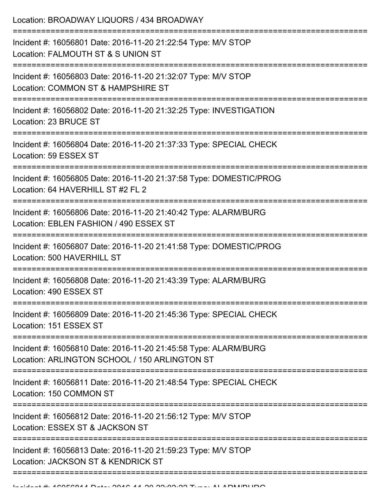| Location: BROADWAY LIQUORS / 434 BROADWAY                                                                        |
|------------------------------------------------------------------------------------------------------------------|
| Incident #: 16056801 Date: 2016-11-20 21:22:54 Type: M/V STOP<br>Location: FALMOUTH ST & S UNION ST              |
| Incident #: 16056803 Date: 2016-11-20 21:32:07 Type: M/V STOP<br>Location: COMMON ST & HAMPSHIRE ST              |
| Incident #: 16056802 Date: 2016-11-20 21:32:25 Type: INVESTIGATION<br>Location: 23 BRUCE ST                      |
| Incident #: 16056804 Date: 2016-11-20 21:37:33 Type: SPECIAL CHECK<br>Location: 59 ESSEX ST                      |
| Incident #: 16056805 Date: 2016-11-20 21:37:58 Type: DOMESTIC/PROG<br>Location: 64 HAVERHILL ST #2 FL 2          |
| Incident #: 16056806 Date: 2016-11-20 21:40:42 Type: ALARM/BURG<br>Location: EBLEN FASHION / 490 ESSEX ST        |
| Incident #: 16056807 Date: 2016-11-20 21:41:58 Type: DOMESTIC/PROG<br>Location: 500 HAVERHILL ST                 |
| Incident #: 16056808 Date: 2016-11-20 21:43:39 Type: ALARM/BURG<br>Location: 490 ESSEX ST                        |
| Incident #: 16056809 Date: 2016-11-20 21:45:36 Type: SPECIAL CHECK<br>Location: 151 ESSEX ST                     |
| Incident #: 16056810 Date: 2016-11-20 21:45:58 Type: ALARM/BURG<br>Location: ARLINGTON SCHOOL / 150 ARLINGTON ST |
| Incident #: 16056811 Date: 2016-11-20 21:48:54 Type: SPECIAL CHECK<br>Location: 150 COMMON ST                    |
| Incident #: 16056812 Date: 2016-11-20 21:56:12 Type: M/V STOP<br>Location: ESSEX ST & JACKSON ST                 |
| Incident #: 16056813 Date: 2016-11-20 21:59:23 Type: M/V STOP<br>Location: JACKSON ST & KENDRICK ST              |